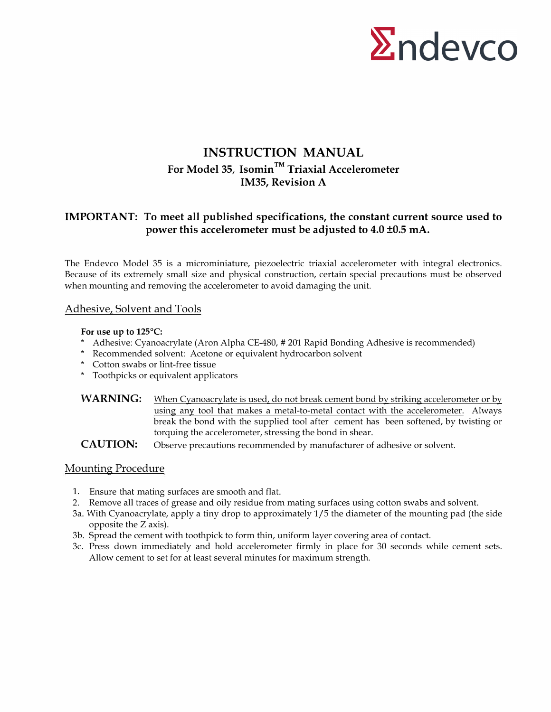

## **INSTRUCTION MANUAL For Model 35, Isomin™ Triaxial Accelerometer IM35, Revision A**

### **IMPORT ANT: To meet all published specifications, the constant current source used to power this accelerometer must be adjusted to 4.0 ±0.5 mA.**

The Endevco Model 35 is a microminiature, piezoelectric triaxial accelerometer with integral electronics. Because of its extremely small size and physical construction, certain special precautions must be observed when mounting and removing the accelerometer to avoid damaging the unit.

#### Adhesive, Solvent and Tools

#### **For use up to 125°C:**

- \* Adhesive: Cyanoacrylate (Aron Alpha CE-480, # 201 Rapid Bonding Adhesive is recommended)
- \* Recommended solvent: Acetone or equivalent hydrocarbon solvent
- \* Cotton swabs or lint-free tissue
- \* Toothpicks or equivalent applicators
- WARNING: When Cyanoacrylate is used, do not break cement bond by striking accelerometer or by using any tool that makes a metal-to-metal contact with the accelerometer. Always break the bond with the supplied tool after cement has been softened, by twisting or torquing the accelerometer, stressing the bond in shear.

**CAUTION:** Observe precautions recommended by manufacturer of adhesive or solvent.

#### Mounting Procedure

- 1. Ensure that mating surfaces are smooth and flat.
- 2. Remove all traces of grease and oily residue from mating surfaces using cotton swabs and solvent.
- 3a. With Cyanoacrylate, apply a tiny drop to approximately 1/5 the diameter of the mounting pad (the side opposite the Z axis).
- 3b. Spread the cement with toothpick to form thin, uniform layer covering area of contact.
- 3c. Press down immediately and hold accelerometer firmly in place for 30 seconds while cement sets. Allow cement to set for at least several minutes for maximum strength.